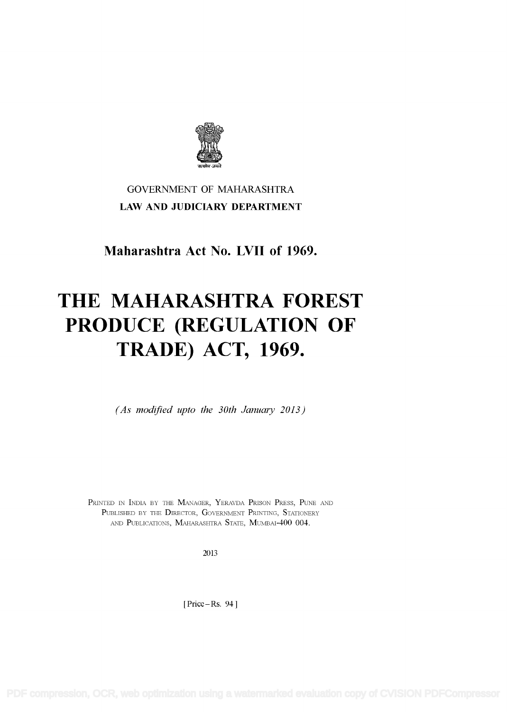

## GOVERNMENT OF MAHARASHTRA LAW AND JUDICIARY DEPARTMENT

Maharashtra Act No. LVII of 1969.

# THE MAHARASHTRA FOREST PRODUCE (REGULATION OF TRADE) ACT, 1969.

(As modified upto the 30th January 2013)

PRINTED IN INDIA BY THE MANAGER, YERAVDA PRISON PRESS, PUNE AND PUBLISHED BY THE DIRECTOR, GOVERNMENT PRINTING, STATIONERY AND PUBLICATIONS, MAHARASHTRA STATE, MUMBAI-400 004.

2013

[Price-Rs. 94]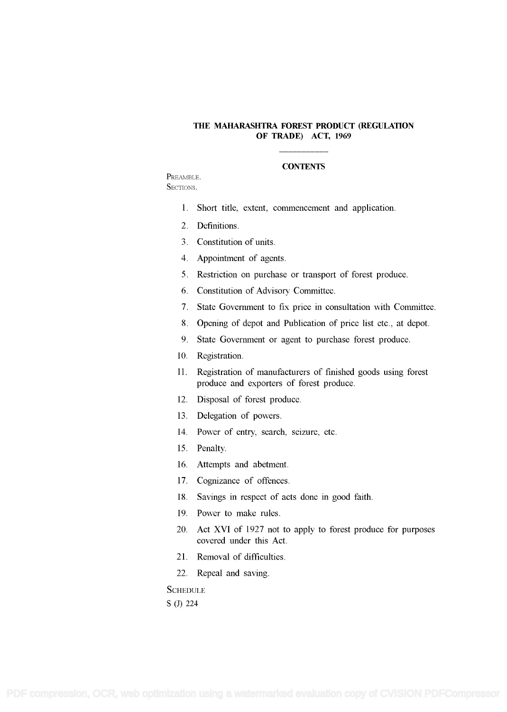#### THE MAHARASHTRA FOREST PRODUCT (REGULATION OF TRADE) ACT, 1969

#### **CONTENTS**

PREAMBLE. SECTIONS.

- 1. Short title, extent, commencement and application.
- 2. Definitions.
- <sup>3</sup>. Constitution of units.
- 4. Appointment of agents.
- <sup>5</sup>. Restriction on purchase or transport of forest produce.
- 6 . Constitution of Advisory Committee.
- 7 . State Government to fix price in consultation with Committee.
- <sup>8</sup>. Opening of depot and Publication of price list etc., at depot.
- 9. State Government or agent to purchase forest produce.
- 10. Registration.
- 11. Registration of manufacturers of finished goods using forest produce and exporters of forest produce.
- 12. Disposal of forest produce.
- 13. Delegation of powers.
- 14. Power of entry, search, seizure, etc.
- 15. Penalty.
- 16. Attempts and abetment.
- 17. Cognizance of offences.
- 18. Savings in respect of acts done in good faith.
- 19. Power to make rules.
- 20. Act XVI of 1927 not to apply to forest produce for purposes covered under this Act.
- 21. Removal of difficulties.
- 22. Repeal and saving.

**SCHEDULE** S (J) 224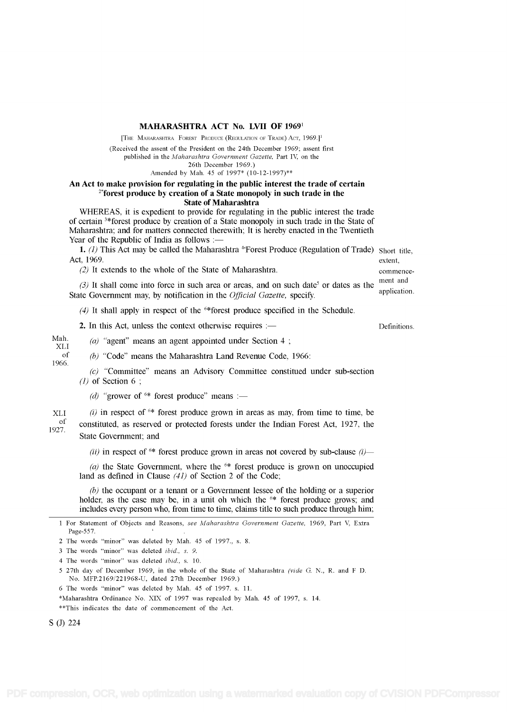#### MAHARASHTRA ACT No. LVII OF <sup>19691</sup>

[THE MAHARASHTRA FOREST PRODUCE (REGULATION OF TRADE) ACT, 1969.<sup>11</sup>

(Received the assent of the President on the 24th December 1969; assent first published in the Maharashtra Government Gazette, Part IV, on the

26th December 1969.)

Amended by Mah. 45 of 1997\* (10-12-1997)\*\*

### An Act to make provision for regulating in the public interest the trade of certain  $2*$  forest produce by creation of a State monopoly in such trade in the State of Maharashtra

WHEREAS, it is expedient to provide for regulating in the public interest the trade of certain 3\*forest produce by creation of a State monopoly in such trade in the State of Maharashtra; and for matters connected therewith; It is hereby enacted in the Twentieth Year of the Republic of India as follows  $:=$ 

1. (1) This Act may be called the Maharashtra  $^{4*}$ Forest Produce (Regulation of Trade) Short title, Act, 1969. Act, 1969. extent,

(2) It extends to the whole of the State of Maharashtra. commence-

(3) It shall come into force in such area or areas, and on such date<sup>5</sup> or dates as the ment and application. State Government may, by notification in the *Official Gazette*, specify.

(4) It shall apply in respect of the  $6*$  forest produce specified in the Schedule.

2. In this Act, unless the context otherwise requires :—

Mah.  $(a)$  "agent" means an agent appointed under Section 4;<br>
of  $(b)$  "Code" means the Maharashtra Land Beyenue Code

1966.

 $(b)$  "Code" means the Maharashtra Land Revenue Code, 1966:

(c) "Committee" means an Advisory Committee constitued under sub-section  $(1)$  of Section 6;

(d) "grower of  $6*$  forest produce" means :—

 $XLL$  (i) in respect of  $6*$  forest produce grown in areas as may, from time to time, be  $\frac{d}{dr}$  constituted, as reserved or protected forests under the Indian Forest Act, 1927, the 1927. State Government; and

(ii) in respect of  $6*$  forest produce grown in areas not covered by sub-clause (i)—

(a) the State Government, where the  $6*$  forest produce is grown on unoccupied land as defined in Clause  $(41)$  of Section 2 of the Code;

(b) the occupant or a tenant or a Government lessee of the holding or a superior holder, as the case may be, in a unit oh which the  $6*$  forest produce grows; and includes every person who, from time to time, claims title to such produce through him;

3 The words "minor" was deleted ibid., s. 9.

4 The words "minor" was deleted ibid., s. 10.

<sup>5</sup>27th day of December 1969, in the whole of the State of Maharashtra (vide G. N., R. and F D. No. MFP.2169/221968-U, dated 27th December 1969.)

6 The words "minor" was deleted by Mah. 45 of 1997. s. 11.

\*Maharashtra Ordinance No. XIX of 1997 was repealed by Mah. 45 of 1997, s. 14.

\*\*This indicates the date of commencement of the Act.

S (J) 224

<sup>1</sup> For Statement of Objects and Reasons, see Maharashtra Government Gazette, 1969, Part V, Extra Page-557.

<sup>2</sup> The words "minor" was deleted by Mah. 45 of 1997., s. 8.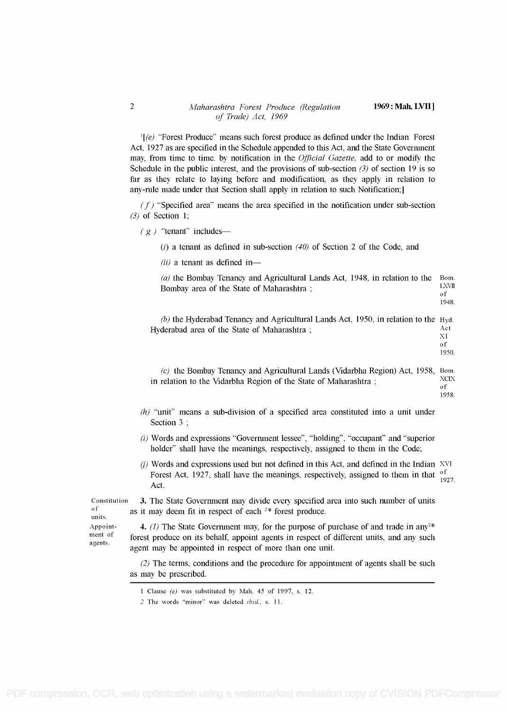# 2 Maharashtra Forest Produce (Regulation 1969: Mah. LVII]<br>of Trade) Act, 1969

 $\mathbb{I}(\mathscr{C})$  "Forest Produce" means such forest produce as defined under the Indian Forest Act, 1927 as are specified in the Schedule appended to this Act, and the State Government may, from time to time. by notification in the *Official Gazette*, add to or modify the Schedule in the public interest, and the provisions of sub-section  $(3)$  of section 19 is so far as they relate to laying before and modification, as they apply in relation to any-rule made under that Section shall apply in relation to such Notification;

 $(f)$  "Specified area" means the area specified in the notification under sub-section (3) of Section 1;

 $(g)$  "tenant" includes—

(i) a tenant as defined in sub-section  $(40)$  of Section 2 of the Code, and

 $(ii)$  a tenant as defined in-

(a) the Bombay Tenancy and Agricultural Lands Act, 1948, in relation to the Bom.<br>Regular area of the State of Mahamattra in Bombay area of the State of Maharashtra ;  $\frac{LX}{g}$ 1948. (b) the Hyderabad Tenancy and Agricultural Lands Act, 1950, in relation to the Hyd. Hyderabad area of the State of Maharashtra ; Act XI of 1950.

 $(c)$  the Bombay Tenancy and Agricultural Lands (Vidarbha Region) Act, 1958, Bom. in relation to the Vidarbha Region of the State of Maharashtra ;  $XCIX$ of

- $(h)$  "unit" means a sub-division of a specified area constituted into a unit under Section 3;
- (i) Words and expressions "Government lessee", "holding", "occupant" and "superior holder" shall have the meanings, respectively, assigned to them in the Code;
- $(i)$  Words and expressions used but not defined in this Act, and defined in the Indian XVI Forest Act, 1927, shall have the meanings, respectively, assigned to them in that  $\frac{0.1}{1.1}$   $\frac{1.027}{1.027}$ Act.

Constitution 3. The State Government may divide every specified area into such number of units of  $\frac{1}{100}$  as it may doom fit in respect of each  $2*$  forest produce  $\sigma$ <sup>of</sup> as it may deem fit in respect of each <sup>2\*</sup> forest produce.

Appoint-<br> **4.** (1) The State Government may, for the purpose of purchase of and trade in any<sup>2\*</sup><br> **Appoint** for the purpose of different units and any such ment of forest produce on its behalf, appoint agents in respect of different units, and any such agents. agent may be appointed in respect of more than one unit.

> (2) The terms, conditions and the procedure for appointment of agents shall be such as may be prescribed.

<sup>1958.</sup> 

<sup>1</sup>Clause (e) was substituted by Mah. 45 of 1997, s. 12.

<sup>2</sup> The words "minor" was deleted ibid., s. 11.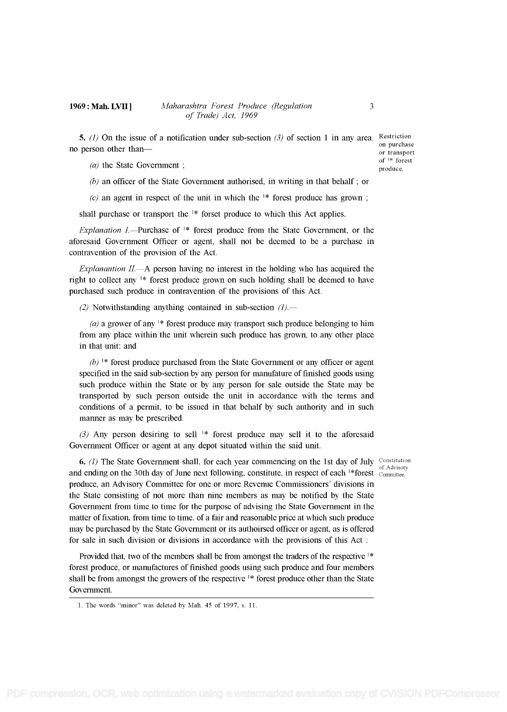5. (1) On the issue of a notification under sub-section (3) of section 1 in any area. Restriction on purchase or transport than-

of  $1*$  forest<br>produce.

( $a$ ) the State Government ;

(b) an officer of the State Government authorised, in writing in that behalf ; or

(c) an agent in respect of the unit in which the  $\frac{1}{k}$  forest produce has grown:

shall purchase or transport the  $1*$  forset produce to which this Act applies.

Explanation I.—Purchase of  $1*$  forest produce from the State Government, or the aforesaid Government Officer or agent, shall not be deemed to be a purchase in contravention of the provision of the Act.

Explanantion  $II$ . A person having no interest in the holding who has acquired the right to collect any  $\frac{1}{k}$  forest produce grown on such holding shall be deemed to have purchased such produce in contravention of the provisions of this Act.

(2) Notwithstanding anything contained in sub-section  $(1)$ .

(a) a grower of any  $\frac{1}{x}$  forest produce may transport such produce belonging to him from any place within the unit wherein such produce has grown, to any other place in that unit: and

 $(b)$ <sup>1\*</sup> forest produce purchased from the State Government or any officer or agent specified in the said sub-section by any person for manufature of finished goods using such produce within the State or by any person for sale outside the State may be transported by such person outside the unit in accordance with the terms and conditions of a permit, to be issued in that behalf by such authority and in such manner as may be prescribed.

(3) Any person desiring to sell  $1*$  forest produce may sell it to the aforesaid Government Officer or agent at any depot situated within the said unit.

6. (1) The State Government shall, for each year commencing on the 1st day of July Constitution and ending on the 30th day of June next following, constitute, in respect of each <sup>1\*</sup>forest  $\frac{1}{\text{Commitite}}$ . produce, an Advisory Committee for one or more Revenue Commissioners' divisions in the State consisting of not more than nine members as may be notified by the State Government from time to time for the purpose of advising the State Government in the matter of fixation, from time to time. of a fair and reasonable price at which such produce may be purchased by the State Government or its authoirsed officer or agent, as is offered for sale in such division or divisions in accordance with the provisions of this Act

Provided that, two of the members shall be from amongst the traders of the respective  $1*$ forest produce, or manufactures of finished goods using such produce and four members shall be from amongst the growers of the respective  $\frac{1}{2}$  forest produce other than the State Government.

<sup>1.</sup> The words "minor" was deleted by Mah. 45 of 1997, s. 11.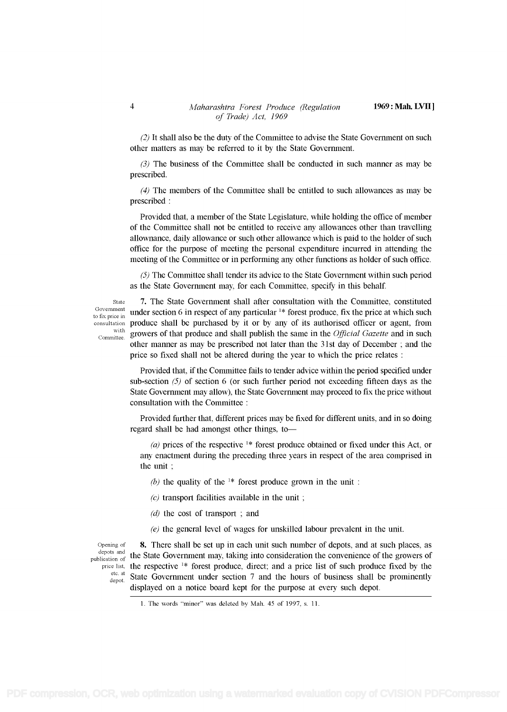(2) It shall also be the duty of the Committee to advise the State Government on such other matters as may be referred to it by the State Government.

(3) The business of the Committee shall be conducted in such manner as may be prescribed.

(4) The members of the Committee shall be entitled to such allowances as may be prescribed

Provided that, a member of the State Legislature, while holding the office of member of the Committee shall not be entitled to receive any allowances other than travelling allownance, daily allowance or such other allowance which is paid to the holder of such office for the purpose of meeting the personal expenditure incurred in attending the meeting of the Committee or in performing any other functions as holder of such office.

(5) The Committee shall tender its advice to the State Government within such period as the State Government may, for each Committee, specify in this behalf

to fix price in

State 7. The State Government shall after consultation with the Committee, constituted Government under section 6 in respect of any particular  $\frac{1}{2}$  forest produce, fix the price at which such consultation produce shall be purchased by it or by any of its authorised officer or agent, from  $\frac{\text{with}}{\text{Commitee}}$  growers of that produce and shall publish the same in the *Official Gazette* and in such other manner as may be prescribed not later than the <sup>3</sup>1 st day of December ; and the price so fixed shall not be altered during the year to which the price relates

> Provided that, if the Committee fails to tender advice within the period specified under sub-section  $(5)$  of section 6 (or such further period not exceeding fifteen days as the State Government may allow), the State Government may proceed to fix the price without consultation with the Committee

> Provided further that, different prices may be fixed for different units, and in so doing regard shall be had amongst other things, to-

(a) prices of the respective  $1*$  forest produce obtained or fixed under this Act, or any enactment during the preceding three years in respect of the area comprised in the unit

(b) the quality of the <sup>1\*</sup> forest produce grown in the unit:

 $(c)$  transport facilities available in the unit;

- $(d)$  the cost of transport; and
- (e) the general level of wages for unskilled labour prevalent in the unit.

Opening of **8.** There shall be set up in each unit such number of depots, and at such places, as depots and  $\frac{1}{2}$ .  $\frac{1}{2}$  $P_{\text{publication of}}$  the State Government may, taking into consideration the convenience of the growers of price list, the respective  $^{1*}$  forest produce, direct; and a price list of such produce fixed by the state of the state of the state of the state of the state of the state of the state of the state of the state of the  $\frac{\text{etc. at}}{\text{depot}}$  State Government under section 7 and the hours of business shall be prominently displayed on a notice board kept for the purpose at every such depot.

<sup>1.</sup> The words "minor" was deleted by Mah. 45 of 1997, s. 11.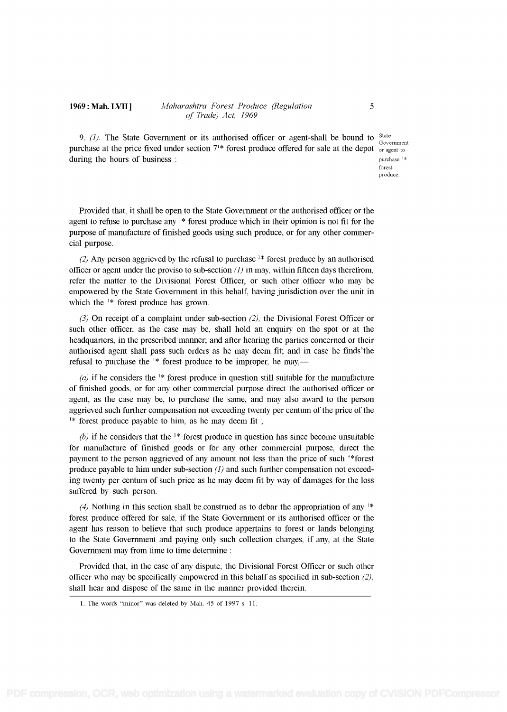#### 1969: Mah. LVII J Maharashtra Forest Produce (Regulation 5 of Trade) Act, 1969

9. (1). The State Government or its authorised officer or agent-shall be bound to  $\frac{State}{a}$ purchase at the price fixed under section  $7^{1*}$  forest produce offered for sale at the depot  $\frac{1}{9}$  or agent to during the hours of business : purchase  $\frac{1}{2}$  is a purchase  $\frac{1}{2}$  is a purchase  $\frac{1}{2}$  is a purchase  $\frac{1}{2}$ 

Government forest produce.

Provided that, it shall be open to the State Government or the authorised officer or the agent to refuse to purchase any  $1*$  forest produce which in their opinion is not fit for the purpose of manufacture of finished goods using such produce, or for any other commercial purpose.

(2) Any person aggrieved by the refusal to purchase  $\frac{1}{x}$  forest produce by an authorised officer or agent under the proviso to sub-section  $(1)$  in may, within fifteen days therefrom, refer the matter to the Divisional Forest Officer, or such other officer who may be empowered by the State Government in this behalf, having jurisdiction over the unit in which the <sup>1\*</sup> forest produce has grown.

(3) On receipt of a complaint under sub-section (2), the Divisional Forest Officer or such other officer, as the case may be, shall hold an enquiry on the spot or at the headquarters, in the prescribed manner; and afler hearing the parties concerned or their authorised agent shall pass such orders as he may deem fit; and in case he finds'the refusal to purchase the  $1*$  forest produce to be improper, he may,—

(a) if he considers the <sup>1\*</sup> forest produce in question still suitable for the manufacture of finished goods, or for any other commercial purpose direct the authorised officer or agent, as the case may be, to purchase the same, and may also award to the person aggrieved such further compensation not exceeding twenty per centum of the price of the <sup>1\*</sup> forest produce payable to him, as he may deem fit;

(b) if he considers that the  $\frac{1}{x}$  forest produce in question has since become unsuitable for manufacture of finished goods or for any other commercial purpose, direct the payment to the person aggrieved of any amount not less than the price of such '\*forest produce payable to him under sub-section  $(1)$  and such further compensation not exceeding twenty per centum of such price as he may deem fit by way of damages for the loss suffered by such person.

(4) Nothing in this section shall be construed as to debar the appropriation of any  $1*$ forest produce offered for sale, if the State Government or its authorised officer or the agent has reason to believe that such produce appertains to forest or lands belonging to the State Government and paying only such collection charges, if any, at the State Government may from time to time determine :

Provided that, in the case of any dispute, the Divisional Forest Officer or such other officer who may be specifically empowered in this behalf as specified in sub-section  $(2)$ , shall hear and dispose of the same in the manner provided therein.

<sup>1.</sup> The words "minor" was deleted by Mah. 45 of 1997 s. 11.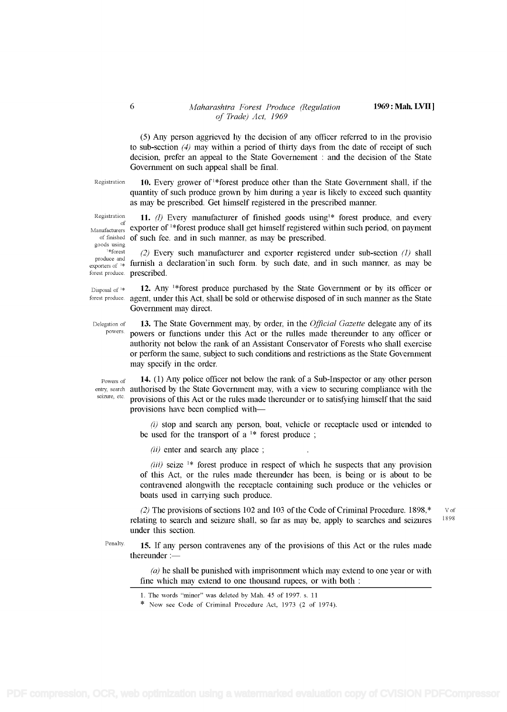# Maharashtra Forest Produce (Regulation 1969: Mah. LVII ]<br>of Trade) Act, 1969

(5) Any person aggrieved hy the decision of any officer referred to in the provisio to sub-section  $(4)$  may within a period of thirty days from the date of receipt of such decision, prefer an appeal to the State Governement : and the decision of the State Government on such appeal shall be final.

6

Registration 10. Every grower of <sup>1\*</sup>forest produce other than the State Government shall, if the quantity of such produce grown by him during a year is likely to exceed such quantity as may be prescribed. Get himself registered in the prescribed manner.

Registration 11. *(I)* Every manufacturer of finished goods using<sup>1\*</sup> forest produce, and every  $M$ anufacturers exporter of <sup>1</sup>\*forest produce shall get himself registered within such period, on payment of finished of such fee, and in such manner, as may be prescribed of finished of such fee. and in such manner, as may be prescribed.

goods using (2) Every such manufacturer and exporter registered under sub-section (1) shall produce and  $\frac{1}{\text{exponents of}}$  furnish a declaration'in such form. by such date, and in such manner, as may be forest produce. prescribed.

Disposal of  $*$  12. Any  $*$  forest produce purchased by the State Government or by its officer or forest produce. agent, under this Act, shall be sold or otherwise disposed of in such manner as the State Government may direct.

Delegation of **13.** The State Government may, by order, in the *Official Gazette* delegate any of its powers. **powers** or functions under this Act or the rulles mode therounder to any officer or powers or functions under this Act or the rulles made thereunder to any officer or authority not below the rank of an Assistant Conservator of Forests who shall exercise or perform the same, subject to such conditions and restrictions as the State Government may specify in the order.

Powers of 14. (1) Any police officer not below the rank of a Sub-Inspector or any other person entry, search authorised by the State Government may, with a view to securing compliance with the seid provisions of this Act or the rules made thereunder or to satisfying himself that the said provisions have been complied with-

> $(i)$  stop and search any person, boat, vehicle or receptacle used or intended to be used for the transport of a  $1*$  forest produce;

 $(ii)$  enter and search any place ;

(iii) seize  $\frac{1}{x}$  forest produce in respect of which he suspects that any provision of this Act, or the rules made thereunder has been, is being or is about to be contravened alongwith the receptacle containing such produce or the vehicles or boats used in carrying such produce.

(2) The provisions of sections 102 and 103 of the Code of Criminal Procedure. 1898,\*  $V$  of  $V$  of the conclusion of section of corresponding to second coincing  $V$   $V$   $V$ relating to search and seizure shall, so far as may be, apply to searches and seizures under this section.

Penalty. 15. If any person contravenes any of the provisions of this Act or the rules made thereunder  $:-$ 

 $(a)$  he shall be punished with imprisonment which may extend to one year or with fine which may extend to one thousand rupees, or with both

<sup>1.</sup> The words "minor" was deleted by Mah. 45 of 1997. s. 11

<sup>\*</sup> Now see Code of Criminal Procedure Act, 1973 (2 of 1974).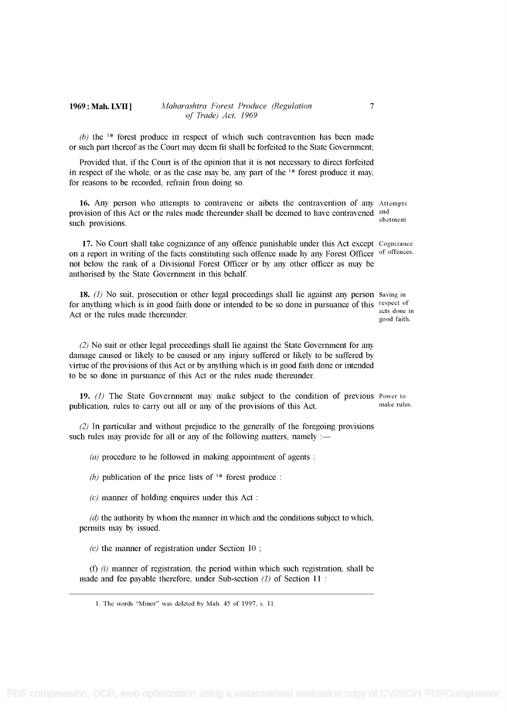#### 1969: Mah. LVII ] Maharashtra Forest Produce (Regulation 7 of Trade) Act, 1969

(b) the  $1*$  forest produce in respect of which such contravention has been made or such part thereof as the Court may deem fit shall be forfeited to the State Government;

Provided that, if the Court is of the opinion that it is not necessary to direct forfeited in respect of the whole, or as the case may be, any part of the  $1*$  forest produce it may, for reasons to be recorded, refrain from doing so.

16. Any person who attempts to contravene or aibets the contravention of any Attempts provision of this Act or the rules made thereunder shall be deemed to have contravened and such provisions. Abetment abetment abetment abetment abetment abetment abetment abetment

17. No Court shall take cognizance of any offence punishable under this Act except Cognizance on a report in writing of the facts constituting such offence made hy any Forest Officer of offences. not below the rank of a Divisional Forest Officer or by any other officer as may be authorised by the State Government in this behalf

18. (1) No suit, prosecution or other legal proceedings shall lie against any person Saving in for anything which is in good faith done or intended to be so done in pursuance of this respect of acts done in Act or the rules made thereunder.

(2) No suit or other legal proceedings shall lie against the State Government for any damage caused or likely to be caused or any injury suffered or likely to be suffered by virtue of the provisions of this Act or by anything which is in good faith done or intended to be so done in pursuance of this Act or the rules made thereunder.

19. (1) The State Government may make subject to the condition of previous Power to beliestion rules to carry out all or any of the provisions of this  $\Delta ct$  make rules. publication, rules to carry out all or any of the provisions of this Act.

(2) In particular and without prejudice to the generally of the foregoing provisions such rules may provide for all or any of the following matters, namely :-

(a) procedure to he followed in making appointment of agents :

(b) publication of the price lists of  $\lambda^*$  forest produce:

 $(c)$  manner of holding enquires under this Act:

 $(d)$  the authority by whom the manner in which and the conditions subject to which, permits may by issued.

 $(c)$  the manner of registration under Section 10;

(f)  $(i)$  manner of registration, the period within which such registration, shall be made and fee payable therefore, under Sub-section  $(l)$  of Section 11 :

good faith.

<sup>1.</sup> The words "Minor" was deleted by Mah. 45 of 1997, s. 11.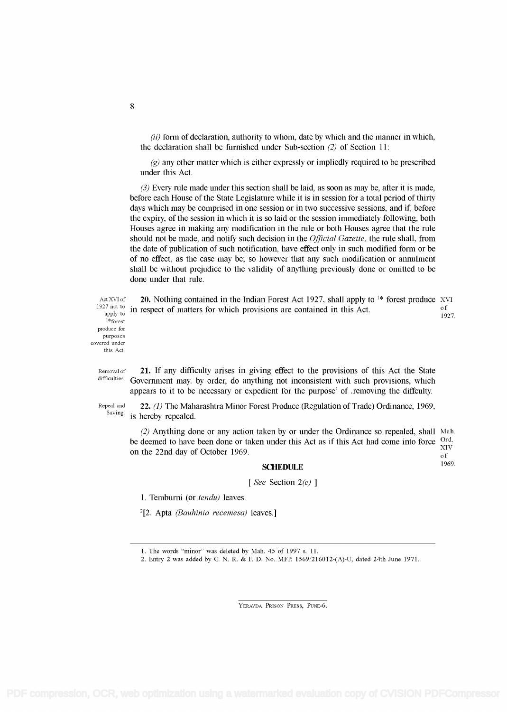$(ii)$  form of declaration, authority to whom, date by which and the manner in which, the declaration shall be furnished under Sub-section (2) of Section 11:

 $(q)$  any other matter which is either expressly or impliedly required to be prescribed under this Act.

 $(3)$  Every rule made under this section shall be laid, as soon as may be, after it is made, before each House of the State Legislature while it is in session for a total period of thirty days which may be comprised in one session or in two successive sessions, and if, before the expiry, of the session in which it is so laid or the session immediately following, both Houses agree in making any modification in the rule or both Houses agree that the rule should not be made, and notify such decision in the *Official Gazette*, the rule shall, from the date of publication of such notification, have effect only in such modified form or be of no effect, as the case may be; so however that any such modification or annulment shall be without prejudice to the validity of anything previously done or omitted to be done under that rule.

l\*forest produce for purposes covered under this Act.

ActXVI of 20. Nothing contained in the Indian Forest Act 1927, shall apply to <sup>1\*</sup> forest produce XVI 1927 not to in general of watters for which generalize are contained in this Act. <sup>1927 not to</sup> in respect of matters for which provisions are contained in this Act.  $\frac{1927}{1927}$ 

Removal of **21.** If any difficulty arises in giving effect to the provisions of this Act the State difficulties. Government may. by order, do anything not inconsistent with such provisions, which appears to it to be necessary or expedient for the purpose' of removing the diffculty.

Repeal and 22. (1) The Maharashtra Minor Forest Produce (Regulation of Trade) Ordinance, 1969, Saving in homehy repealed is hereby repealed.

(2) Anything done or any action taken by or under the Ordinance so repealed, shall Mah.<br>doomed to have been done or taken under this Act as if this Act had gome into force. Ordina be deemed to have been done or taken under this Act as if this Act had come into force  $\frac{Ord}{XIV}$ on the 22nd day of October 1969.

### SCHEDULE 1969.

[ See Section 2(e) ]

1. Temburni (or tendu) leaves.

 $2$ [2. Apta *(Bauhinia recemesa)* leaves.]

YERAVDA PRISON PRESS, PUNE-6.

#### 8

<sup>1.</sup> The words "minor" was deleted by Mah. 45 of 1997 s. 11.

<sup>2.</sup> Entry 2 was added by G. N. R. & F. D. No. MFP. 1569/216012-(A)-U, dated 24th June 1971.